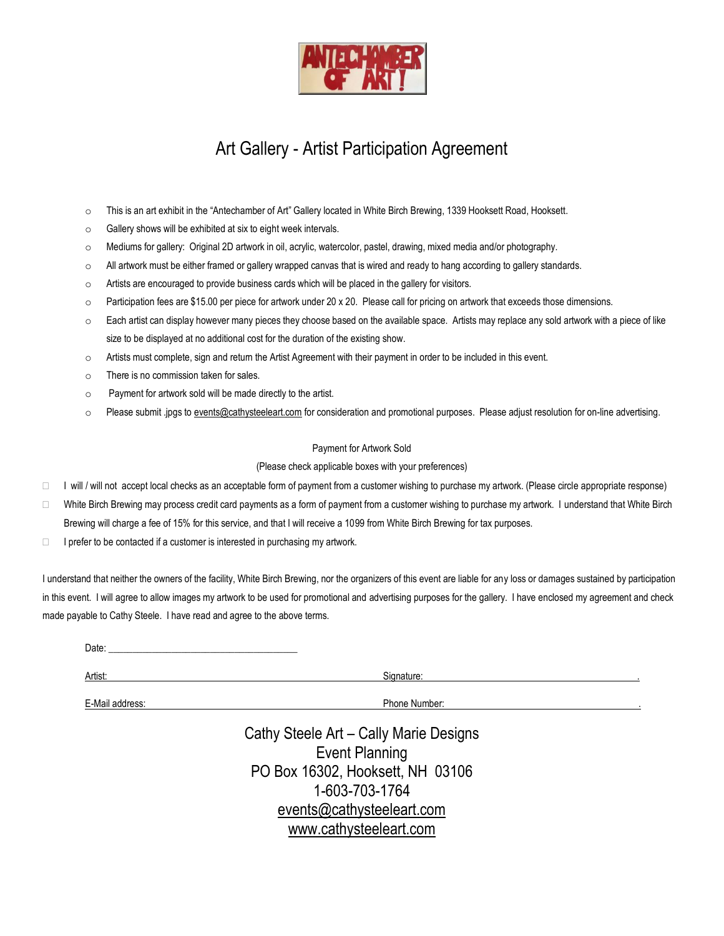

# Art Gallery - Artist Participation Agreement

- o This is an art exhibit in the "Antechamber of Art" Gallery located in White Birch Brewing, 1339 Hooksett Road, Hooksett.
- o Gallery shows will be exhibited at six to eight week intervals.
- o Mediums for gallery: Original 2D artwork in oil, acrylic, watercolor, pastel, drawing, mixed media and/or photography.
- o All artwork must be either framed or gallery wrapped canvas that is wired and ready to hang according to gallery standards.
- $\circ$  Artists are encouraged to provide business cards which will be placed in the gallery for visitors.
- $\circ$  Participation fees are \$15.00 per piece for artwork under 20 x 20. Please call for pricing on artwork that exceeds those dimensions.
- $\circ$  Each artist can display however many pieces they choose based on the available space. Artists may replace any sold artwork with a piece of like size to be displayed at no additional cost for the duration of the existing show.
- o Artists must complete, sign and return the Artist Agreement with their payment in order to be included in this event.
- o There is no commission taken for sales.
- o Payment for artwork sold will be made directly to the artist.
- o Please submit .jpgs t[o events@cathysteeleart.com](mailto:events@cathysteeleart.com) for consideration and promotional purposes. Please adjust resolution for on-line advertising.

### Payment for Artwork Sold

### (Please check applicable boxes with your preferences)

- $\Box$  I will / will not accept local checks as an acceptable form of payment from a customer wishing to purchase my artwork. (Please circle appropriate response)
- □ White Birch Brewing may process credit card payments as a form of payment from a customer wishing to purchase my artwork. I understand that White Birch Brewing will charge a fee of 15% for this service, and that I will receive a 1099 from White Birch Brewing for tax purposes.
- $\Box$  I prefer to be contacted if a customer is interested in purchasing my artwork.

I understand that neither the owners of the facility, White Birch Brewing, nor the organizers of this event are liable for any loss or damages sustained by participation in this event. I will agree to allow images my artwork to be used for promotional and advertising purposes for the gallery. I have enclosed my agreement and check made payable to Cathy Steele. I have read and agree to the above terms.

 $Date:$ 

Artist: Signature: .

E-Mail address: **E-Mail address:**  $\blacksquare$ 

Cathy Steele Art – Cally Marie Designs Event Planning PO Box 16302, Hooksett, NH 03106 1-603-703-1764 [events@cathysteeleart.com](mailto:events@cathysteeleart.com) [www.cathysteeleart.com](http://www.cathysteeleart.com/)